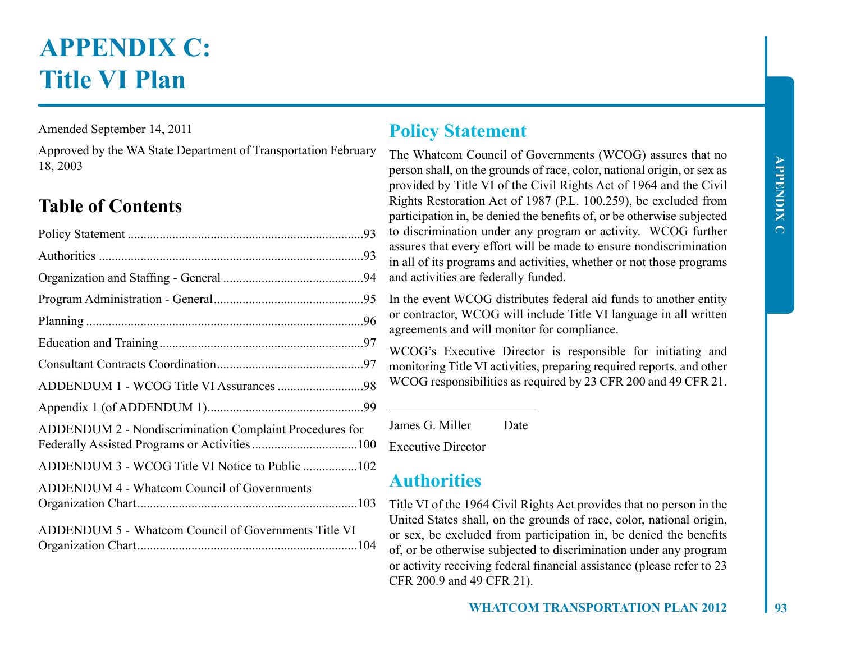# **APPENDIX C: Title VI Plan**

Amended September 14, 2011

Approved by the WA State Department of Transportation February 18, 2003

# **Table of Contents**

| ADDENDUM 2 - Nondiscrimination Complaint Procedures for |
|---------------------------------------------------------|
| ADDENDUM 3 - WCOG Title VI Notice to Public 102         |
| <b>ADDENDUM 4 - Whatcom Council of Governments</b>      |
| ADDENDUM 5 - Whatcom Council of Governments Title VI    |

# **Policy Statement**

The Whatcom Council of Governments (WCOG) assures that no person shall, on the grounds of race, color, national origin, or sex as provided by Title VI of the Civil Rights Act of 1964 and the Civil Rights Restoration Act of 1987 (P.L. 100.259), be excluded from participation in, be denied the benefits of, or be otherwise subjected to discrimination under any program or activity. WCOG further assures that every effort will be made to ensure nondiscrimination in all of its programs and activities, whether or not those programs and activities are federally funded.

In the event WCOG distributes federal aid funds to another entity or contractor, WCOG will include Title VI language in all written agreements and will monitor for compliance.

WCOG's Executive Director is responsible for initiating and monitoring Title VI activities, preparing required reports, and other WCOG responsibilities as required by 23 CFR 200 and 49 CFR 21.

James G. Miller Date

 $\overline{\phantom{a}}$  , which is a set of the set of the set of the set of the set of the set of the set of the set of the set of the set of the set of the set of the set of the set of the set of the set of the set of the set of th

Executive Director

# **Authorities**

Title VI of the 1964 Civil Rights Act provides that no person in the United States shall, on the grounds of race, color, national origin, or sex, be excluded from participation in, be denied the benefits of, or be otherwise subjected to discrimination under any program or activity receiving federal financial assistance (please refer to 23 CFR 200.9 and 49 CFR 21).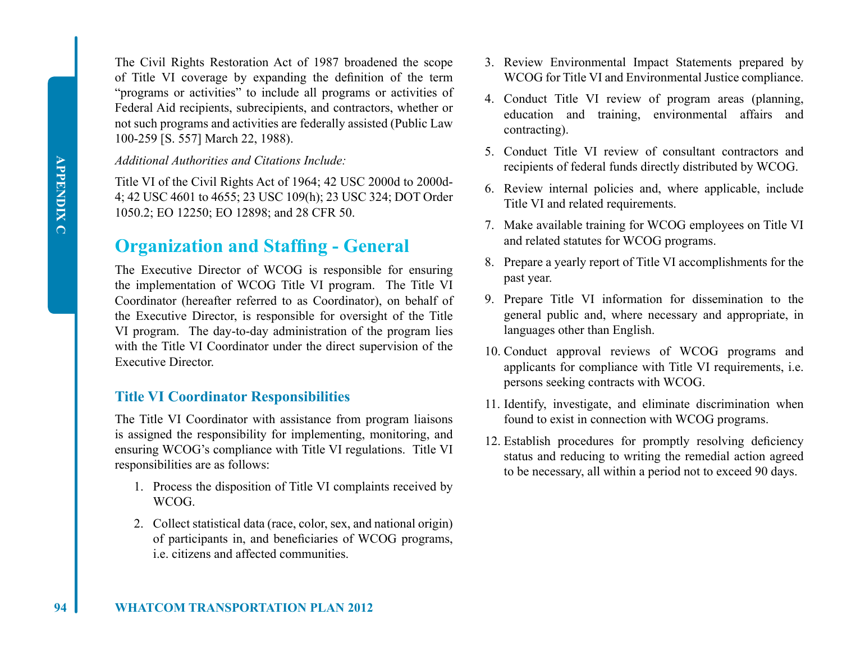The Civil Rights Restoration Act of 1987 broadened the scope of Title VI coverage by expanding the definition of the term "programs or activities" to include all programs or activities of Federal Aid recipients, subrecipients, and contractors, whether or not such programs and activities are federally assisted (Public Law 100-259 [S. 557] March 22, 1988).

#### *Additional Authorities and Citations Include:*

Title VI of the Civil Rights Act of 1964; 42 USC 2000d to 2000d-4; 42 USC 4601 to 4655; 23 USC 109(h); 23 USC 324; DOT Order 1050.2; EO 12250; EO 12898; and 28 CFR 50.

### **Organization and Staffing - General**

The Executive Director of WCOG is responsible for ensuring the implementation of WCOG Title VI program. The Title VI Coordinator (hereafter referred to as Coordinator), on behalf of the Executive Director, is responsible for oversight of the Title VI program. The day-to-day administration of the program lies with the Title VI Coordinator under the direct supervision of the Executive Director.

#### **Title VI Coordinator Responsibilities**

The Title VI Coordinator with assistance from program liaisons is assigned the responsibility for implementing, monitoring, and ensuring WCOG's compliance with Title VI regulations. Title VI responsibilities are as follows:

- 1. Process the disposition of Title VI complaints received by WCOG.
- 2. Collect statistical data (race, color, sex, and national origin) of participants in, and beneficiaries of WCOG programs, i.e. citizens and affected communities.
- 3. Review Environmental Impact Statements prepared by WCOG for Title VI and Environmental Justice compliance.
- 4. Conduct Title VI review of program areas (planning, education and training, environmental affairs and contracting).
- 5. Conduct Title VI review of consultant contractors and recipients of federal funds directly distributed by WCOG.
- 6. Review internal policies and, where applicable, include Title VI and related requirements.
- 7. Make available training for WCOG employees on Title VI and related statutes for WCOG programs.
- 8. Prepare a yearly report of Title VI accomplishments for the past year.
- 9. Prepare Title VI information for dissemination to the general public and, where necessary and appropriate, in languages other than English.
- 10. Conduct approval reviews of WCOG programs and applicants for compliance with Title VI requirements, i.e. persons seeking contracts with WCOG.
- 11. Identify, investigate, and eliminate discrimination when found to exist in connection with WCOG programs.
- 12. Establish procedures for promptly resolving deficiency status and reducing to writing the remedial action agreed to be necessary, all within a period not to exceed 90 days.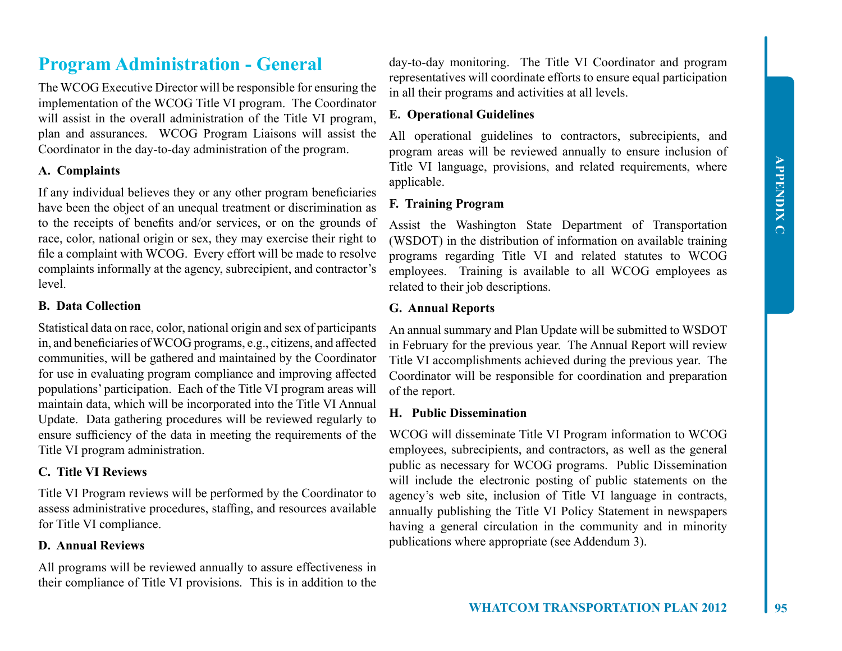# **Program Administration - General**

The WCOG Executive Director will be responsible for ensuring the implementation of the WCOG Title VI program. The Coordinator will assist in the overall administration of the Title VI program, plan and assurances. WCOG Program Liaisons will assist the Coordinator in the day-to-day administration of the program.

#### **A. Complaints**

If any individual believes they or any other program beneficiaries have been the object of an unequal treatment or discrimination as to the receipts of benefits and/or services, or on the grounds of race, color, national origin or sex, they may exercise their right to file a complaint with WCOG. Every effort will be made to resolve complaints informally at the agency, subrecipient, and contractor's level.

#### **B. Data Collection**

Statistical data on race, color, national origin and sex of participants in, and beneficiaries of WCOG programs, e.g., citizens, and affected communities, will be gathered and maintained by the Coordinator for use in evaluating program compliance and improving affected populations' participation. Each of the Title VI program areas will maintain data, which will be incorporated into the Title VI Annual Update. Data gathering procedures will be reviewed regularly to ensure sufficiency of the data in meeting the requirements of the Title VI program administration.

#### **C. Title VI Reviews**

Title VI Program reviews will be performed by the Coordinator to assess administrative procedures, staffing, and resources available for Title VI compliance.

#### **D. Annual Reviews**

All programs will be reviewed annually to assure effectiveness in their compliance of Title VI provisions. This is in addition to the

day-to-day monitoring. The Title VI Coordinator and program representatives will coordinate efforts to ensure equal participation in all their programs and activities at all levels.

#### **E. Operational Guidelines**

All operational guidelines to contractors, subrecipients, and program areas will be reviewed annually to ensure inclusion of Title VI language, provisions, and related requirements, where applicable.

#### **F. Training Program**

Assist the Washington State Department of Transportation (WSDOT) in the distribution of information on available training programs regarding Title VI and related statutes to WCOG employees. Training is available to all WCOG employees as related to their job descriptions.

#### **G. Annual Reports**

An annual summary and Plan Update will be submitted to WSDOT in February for the previous year. The Annual Report will review Title VI accomplishments achieved during the previous year. The Coordinator will be responsible for coordination and preparation of the report.

#### **H. Public Dissemination**

WCOG will disseminate Title VI Program information to WCOG employees, subrecipients, and contractors, as well as the general public as necessary for WCOG programs. Public Dissemination will include the electronic posting of public statements on the agency's web site, inclusion of Title VI language in contracts, annually publishing the Title VI Policy Statement in newspapers having a general circulation in the community and in minority publications where appropriate (see Addendum 3).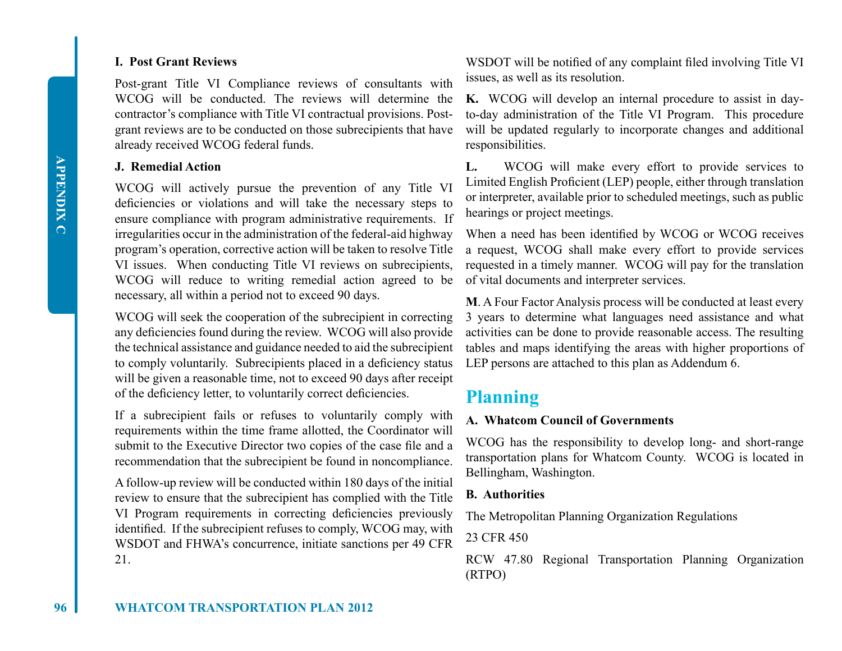#### **I. Post Grant Reviews**

Post-grant Title VI Compliance reviews of consultants with WCOG will be conducted. The reviews will determine the contractor's compliance with Title VI contractual provisions. Postgrant reviews are to be conducted on those subrecipients that have already received WCOG federal funds.

#### **J. Remedial Action**

WCOG will actively pursue the prevention of any Title VI deficiencies or violations and will take the necessary steps to ensure compliance with program administrative requirements. If irregularities occur in the administration of the federal-aid highway program's operation, corrective action will be taken to resolve Title VI issues. When conducting Title VI reviews on subrecipients, WCOG will reduce to writing remedial action agreed to be necessary, all within a period not to exceed 90 days.

WCOG will seek the cooperation of the subrecipient in correcting any deficiencies found during the review. WCOG will also provide the technical assistance and guidance needed to aid the subrecipient to comply voluntarily. Subrecipients placed in a deficiency status will be given a reasonable time, not to exceed 90 days after receipt of the deficiency letter, to voluntarily correct deficiencies.

If a subrecipient fails or refuses to voluntarily comply with requirements within the time frame allotted, the Coordinator will submit to the Executive Director two copies of the case file and a recommendation that the subrecipient be found in noncompliance.

A follow-up review will be conducted within 180 days of the initial review to ensure that the subrecipient has complied with the Title VI Program requirements in correcting deficiencies previously identified. If the subrecipient refuses to comply, WCOG may, with WSDOT and FHWA's concurrence, initiate sanctions per 49 CFR 21.

WSDOT will be notified of any complaint filed involving Title VI issues, as well as its resolution.

**K.** WCOG will develop an internal procedure to assist in dayto-day administration of the Title VI Program. This procedure will be updated regularly to incorporate changes and additional responsibilities.

**L.** WCOG will make every effort to provide services to Limited English Proficient (LEP) people, either through translation or interpreter, available prior to scheduled meetings, such as public hearings or project meetings.

When a need has been identified by WCOG or WCOG receives a request, WCOG shall make every effort to provide services requested in a timely manner. WCOG will pay for the translation of vital documents and interpreter services.

**M**. A Four Factor Analysis process will be conducted at least every 3 years to determine what languages need assistance and what activities can be done to provide reasonable access. The resulting tables and maps identifying the areas with higher proportions of LEP persons are attached to this plan as Addendum 6.

### **Planning**

#### **A. Whatcom Council of Governments**

WCOG has the responsibility to develop long- and short-range transportation plans for Whatcom County. WCOG is located in Bellingham, Washington.

#### **B. Authorities**

The Metropolitan Planning Organization Regulations

23 CFR 450

RCW 47.80 Regional Transportation Planning Organization (RTPO)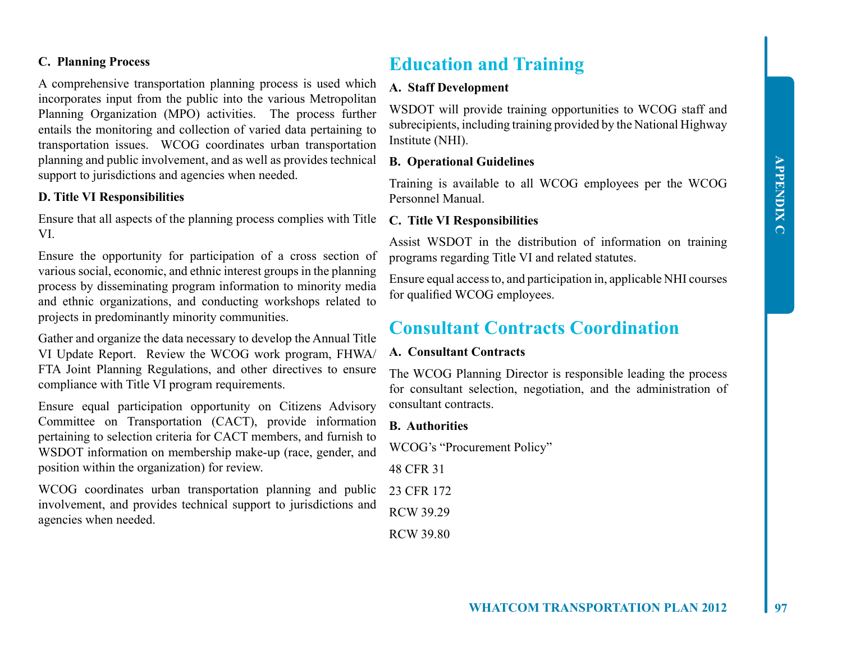#### **C. Planning Process**

A comprehensive transportation planning process is used which incorporates input from the public into the various Metropolitan Planning Organization (MPO) activities. The process further entails the monitoring and collection of varied data pertaining to transportation issues. WCOG coordinates urban transportation planning and public involvement, and as well as provides technical support to jurisdictions and agencies when needed.

#### **D. Title VI Responsibilities**

Ensure that all aspects of the planning process complies with Title VI.

Ensure the opportunity for participation of a cross section of various social, economic, and ethnic interest groups in the planning process by disseminating program information to minority media and ethnic organizations, and conducting workshops related to projects in predominantly minority communities.

Gather and organize the data necessary to develop the Annual Title VI Update Report. Review the WCOG work program, FHWA/ FTA Joint Planning Regulations, and other directives to ensure compliance with Title VI program requirements.

Ensure equal participation opportunity on Citizens Advisory Committee on Transportation (CACT), provide information pertaining to selection criteria for CACT members, and furnish to WSDOT information on membership make-up (race, gender, and position within the organization) for review.

WCOG coordinates urban transportation planning and public involvement, and provides technical support to jurisdictions and agencies when needed.

### **Education and Training**

#### **A. Staff Development**

WSDOT will provide training opportunities to WCOG staff and subrecipients, including training provided by the National Highway Institute (NHI).

#### **B. Operational Guidelines**

Training is available to all WCOG employees per the WCOG Personnel Manual.

#### **C. Title VI Responsibilities**

Assist WSDOT in the distribution of information on training programs regarding Title VI and related statutes.

Ensure equal access to, and participation in, applicable NHI courses for qualified WCOG employees.

### **Consultant Contracts Coordination**

#### **A. Consultant Contracts**

The WCOG Planning Director is responsible leading the process for consultant selection, negotiation, and the administration of consultant contracts.

#### **B. Authorities**

WCOG's "Procurement Policy"

48 CFR 31

23 CFR 172

RCW 39.29

RCW 39.80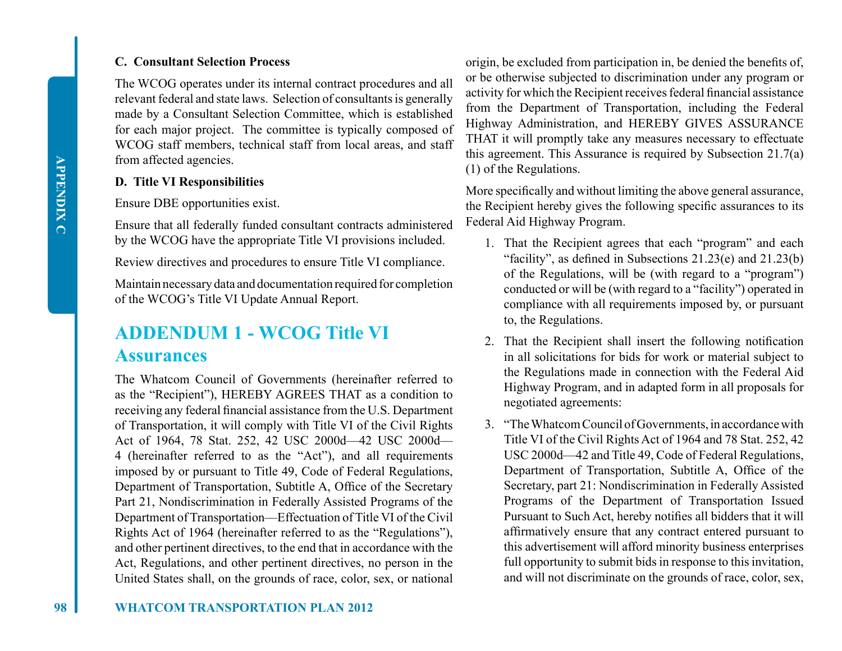#### **C. Consultant Selection Process**

The WCOG operates under its internal contract procedures and all relevant federal and state laws. Selection of consultants is generally made by a Consultant Selection Committee, which is established for each major project. The committee is typically composed of WCOG staff members, technical staff from local areas, and staff from affected agencies.

#### **D. Title VI Responsibilities**

Ensure DBE opportunities exist.

Ensure that all federally funded consultant contracts administered by the WCOG have the appropriate Title VI provisions included.

Review directives and procedures to ensure Title VI compliance.

Maintain necessary data and documentation required for completion of the WCOG's Title VI Update Annual Report.

### **ADDENDUM 1 - WCOG Title VI Assurances**

The Whatcom Council of Governments (hereinafter referred to as the "Recipient"), HEREBY AGREES THAT as a condition to receiving any federal financial assistance from the U.S. Department of Transportation, it will comply with Title VI of the Civil Rights Act of 1964, 78 Stat. 252, 42 USC 2000d—42 USC 2000d— 4 (hereinafter referred to as the "Act"), and all requirements imposed by or pursuant to Title 49, Code of Federal Regulations, Department of Transportation, Subtitle A, Office of the Secretary Part 21, Nondiscrimination in Federally Assisted Programs of the Department of Transportation—Effectuation of Title VI of the Civil Rights Act of 1964 (hereinafter referred to as the "Regulations"), and other pertinent directives, to the end that in accordance with the Act, Regulations, and other pertinent directives, no person in the United States shall, on the grounds of race, color, sex, or national

origin, be excluded from participation in, be denied the benefits of, or be otherwise subjected to discrimination under any program or activity for which the Recipient receives federal financial assistance from the Department of Transportation, including the Federal Highway Administration, and HEREBY GIVES ASSURANCE THAT it will promptly take any measures necessary to effectuate this agreement. This Assurance is required by Subsection 21.7(a) (1) of the Regulations.

More specifically and without limiting the above general assurance, the Recipient hereby gives the following specific assurances to its Federal Aid Highway Program.

- 1. That the Recipient agrees that each "program" and each "facility", as defined in Subsections  $21.23(e)$  and  $21.23(b)$ of the Regulations, will be (with regard to a "program") conducted or will be (with regard to a "facility") operated in compliance with all requirements imposed by, or pursuant to, the Regulations.
- 2. That the Recipient shall insert the following notification in all solicitations for bids for work or material subject to the Regulations made in connection with the Federal Aid Highway Program, and in adapted form in all proposals for negotiated agreements:
- 3. "The Whatcom Council of Governments, in accordance with Title VI of the Civil Rights Act of 1964 and 78 Stat. 252, 42 USC 2000d—42 and Title 49, Code of Federal Regulations, Department of Transportation, Subtitle A, Office of the Secretary, part 21: Nondiscrimination in Federally Assisted Programs of the Department of Transportation Issued Pursuant to Such Act, hereby notifies all bidders that it will affirmatively ensure that any contract entered pursuant to this advertisement will afford minority business enterprises full opportunity to submit bids in response to this invitation, and will not discriminate on the grounds of race, color, sex,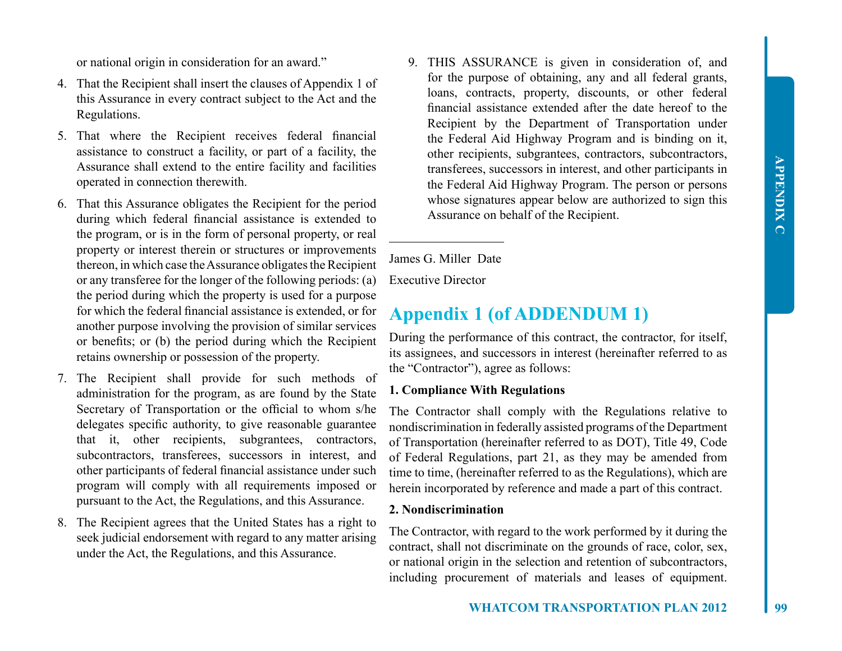or national origin in consideration for an award."

- 4. That the Recipient shall insert the clauses of Appendix 1 of this Assurance in every contract subject to the Act and the Regulations.
- 5. That where the Recipient receives federal financial assistance to construct a facility, or part of a facility, the Assurance shall extend to the entire facility and facilities operated in connection therewith.
- 6. That this Assurance obligates the Recipient for the period during which federal financial assistance is extended to the program, or is in the form of personal property, or real property or interest therein or structures or improvements thereon, in which case the Assurance obligates the Recipient or any transferee for the longer of the following periods: (a) the period during which the property is used for a purpose for which the federal financial assistance is extended, or for another purpose involving the provision of similar services or benefits; or (b) the period during which the Recipient retains ownership or possession of the property.
- 7. The Recipient shall provide for such methods of administration for the program, as are found by the State Secretary of Transportation or the official to whom s/he delegates specific authority, to give reasonable guarantee that it, other recipients, subgrantees, contractors, subcontractors, transferees, successors in interest, and other participants of federal financial assistance under such program will comply with all requirements imposed or pursuant to the Act, the Regulations, and this Assurance.
- 8. The Recipient agrees that the United States has a right to seek judicial endorsement with regard to any matter arising under the Act, the Regulations, and this Assurance.

9. THIS ASSURANCE is given in consideration of, and for the purpose of obtaining, any and all federal grants, loans, contracts, property, discounts, or other federal financial assistance extended after the date hereof to the Recipient by the Department of Transportation under the Federal Aid Highway Program and is binding on it, other recipients, subgrantees, contractors, subcontractors, transferees, successors in interest, and other participants in the Federal Aid Highway Program. The person or persons whose signatures appear below are authorized to sign this Assurance on behalf of the Recipient.

James G. Miller Date

Executive Director

 $\overline{a}$ 

### **Appendix 1 (of ADDENDUM 1)**

During the performance of this contract, the contractor, for itself, its assignees, and successors in interest (hereinafter referred to as the "Contractor"), agree as follows:

#### **1. Compliance With Regulations**

The Contractor shall comply with the Regulations relative to nondiscrimination in federally assisted programs of the Department of Transportation (hereinafter referred to as DOT), Title 49, Code of Federal Regulations, part 21, as they may be amended from time to time, (hereinafter referred to as the Regulations), which are herein incorporated by reference and made a part of this contract.

#### **2. Nondiscrimination**

The Contractor, with regard to the work performed by it during the contract, shall not discriminate on the grounds of race, color, sex, or national origin in the selection and retention of subcontractors, including procurement of materials and leases of equipment.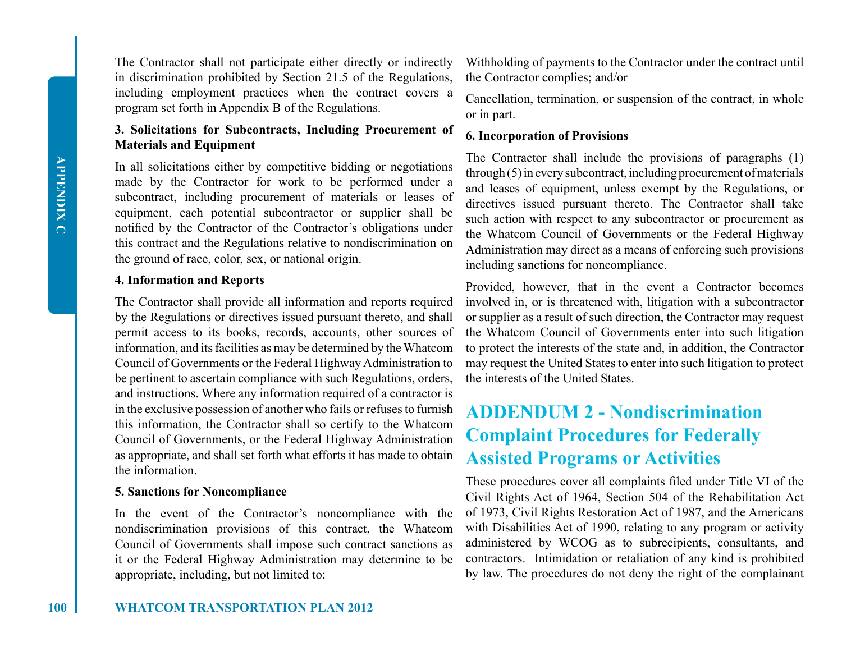The Contractor shall not participate either directly or indirectly in discrimination prohibited by Section 21.5 of the Regulations, including employment practices when the contract covers a program set forth in Appendix B of the Regulations.

#### **3. Solicitations for Subcontracts, Including Procurement of Materials and Equipment**

In all solicitations either by competitive bidding or negotiations made by the Contractor for work to be performed under a subcontract, including procurement of materials or leases of equipment, each potential subcontractor or supplier shall be notified by the Contractor of the Contractor's obligations under this contract and the Regulations relative to nondiscrimination on the ground of race, color, sex, or national origin.

#### **4. Information and Reports**

The Contractor shall provide all information and reports required by the Regulations or directives issued pursuant thereto, and shall permit access to its books, records, accounts, other sources of information, and its facilities as may be determined by the Whatcom Council of Governments or the Federal Highway Administration to be pertinent to ascertain compliance with such Regulations, orders, and instructions. Where any information required of a contractor is in the exclusive possession of another who fails or refuses to furnish this information, the Contractor shall so certify to the Whatcom Council of Governments, or the Federal Highway Administration as appropriate, and shall set forth what efforts it has made to obtain the information.

#### **5. Sanctions for Noncompliance**

In the event of the Contractor's noncompliance with the nondiscrimination provisions of this contract, the Whatcom Council of Governments shall impose such contract sanctions as it or the Federal Highway Administration may determine to be appropriate, including, but not limited to:

Withholding of payments to the Contractor under the contract until the Contractor complies; and/or

Cancellation, termination, or suspension of the contract, in whole or in part.

#### **6. Incorporation of Provisions**

The Contractor shall include the provisions of paragraphs (1) through (5) in every subcontract, including procurement of materials and leases of equipment, unless exempt by the Regulations, or directives issued pursuant thereto. The Contractor shall take such action with respect to any subcontractor or procurement as the Whatcom Council of Governments or the Federal Highway Administration may direct as a means of enforcing such provisions including sanctions for noncompliance.

Provided, however, that in the event a Contractor becomes involved in, or is threatened with, litigation with a subcontractor or supplier as a result of such direction, the Contractor may request the Whatcom Council of Governments enter into such litigation to protect the interests of the state and, in addition, the Contractor may request the United States to enter into such litigation to protect the interests of the United States.

# **ADDENDUM 2 - Nondiscrimination Complaint Procedures for Federally Assisted Programs or Activities**

These procedures cover all complaints filed under Title VI of the Civil Rights Act of 1964, Section 504 of the Rehabilitation Act of 1973, Civil Rights Restoration Act of 1987, and the Americans with Disabilities Act of 1990, relating to any program or activity administered by WCOG as to subrecipients, consultants, and contractors. Intimidation or retaliation of any kind is prohibited by law. The procedures do not deny the right of the complainant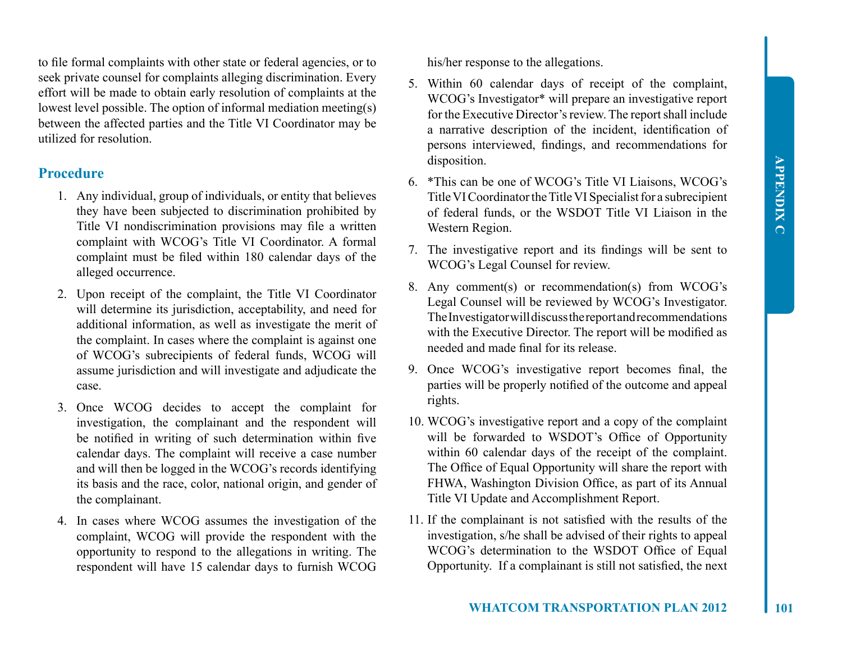to file formal complaints with other state or federal agencies, or to seek private counsel for complaints alleging discrimination. Every effort will be made to obtain early resolution of complaints at the lowest level possible. The option of informal mediation meeting(s) between the affected parties and the Title VI Coordinator may be utilized for resolution.

#### **Procedure**

- 1. Any individual, group of individuals, or entity that believes they have been subjected to discrimination prohibited by Title VI nondiscrimination provisions may file a written complaint with WCOG's Title VI Coordinator. A formal complaint must be filed within 180 calendar days of the alleged occurrence.
- 2. Upon receipt of the complaint, the Title VI Coordinator will determine its jurisdiction, acceptability, and need for additional information, as well as investigate the merit of the complaint. In cases where the complaint is against one of WCOG's subrecipients of federal funds, WCOG will assume jurisdiction and will investigate and adjudicate the case.
- 3. Once WCOG decides to accept the complaint for investigation, the complainant and the respondent will be notified in writing of such determination within five calendar days. The complaint will receive a case number and will then be logged in the WCOG's records identifying its basis and the race, color, national origin, and gender of the complainant.
- 4. In cases where WCOG assumes the investigation of the complaint, WCOG will provide the respondent with the opportunity to respond to the allegations in writing. The respondent will have 15 calendar days to furnish WCOG

his/her response to the allegations.

- 5. Within 60 calendar days of receipt of the complaint, WCOG's Investigator\* will prepare an investigative report for the Executive Director's review. The report shall include a narrative description of the incident, identification of persons interviewed, findings, and recommendations for disposition.
- 6. \*This can be one of WCOG's Title VI Liaisons, WCOG's Title VI Coordinator the Title VI Specialist for a subrecipient of federal funds, or the WSDOT Title VI Liaison in the Western Region.
- 7. The investigative report and its findings will be sent to WCOG's Legal Counsel for review.
- 8. Any comment(s) or recommendation(s) from WCOG's Legal Counsel will be reviewed by WCOG's Investigator. The Investigator will discuss the report and recommendations with the Executive Director. The report will be modified as needed and made final for its release.
- 9. Once WCOG's investigative report becomes final, the parties will be properly notified of the outcome and appeal rights.
- 10. WCOG's investigative report and a copy of the complaint will be forwarded to WSDOT's Office of Opportunity within 60 calendar days of the receipt of the complaint. The Office of Equal Opportunity will share the report with FHWA, Washington Division Office, as part of its Annual Title VI Update and Accomplishment Report.
- 11. If the complainant is not satisfied with the results of the investigation, s/he shall be advised of their rights to appeal WCOG's determination to the WSDOT Office of Equal Opportunity. If a complainant is still not satisfied, the next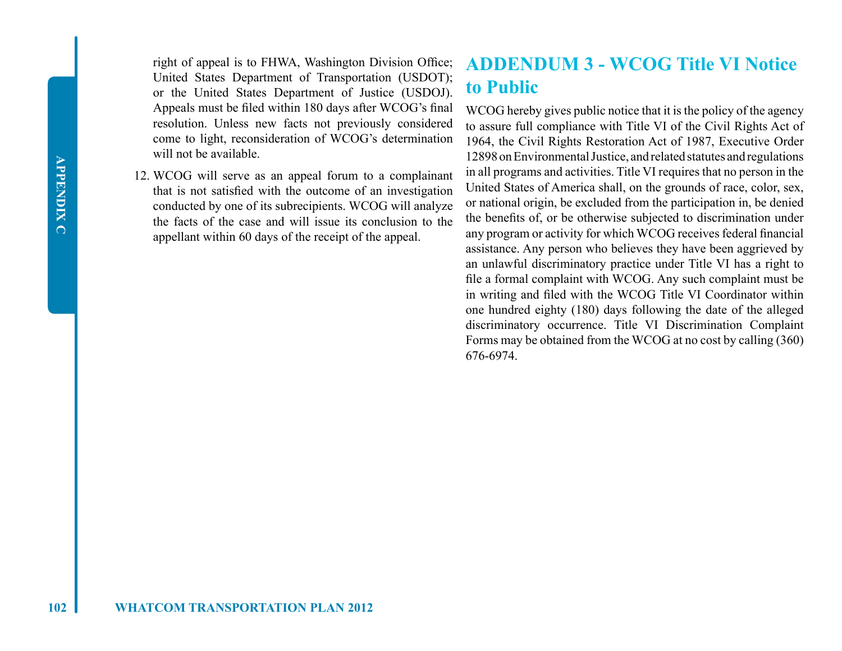right of appeal is to FHWA, Washington Division Office; United States Department of Transportation (USDOT); or the United States Department of Justice (USDOJ). Appeals must be filed within 180 days after WCOG's final resolution. Unless new facts not previously considered come to light, reconsideration of WCOG's determination will not be available.

12. WCOG will serve as an appeal forum to a complainant that is not satisfied with the outcome of an investigation conducted by one of its subrecipients. WCOG will analyze the facts of the case and will issue its conclusion to the appellant within 60 days of the receipt of the appeal.

## **ADDENDUM 3 - WCOG Title VI Notice to Public**

WCOG hereby gives public notice that it is the policy of the agency to assure full compliance with Title VI of the Civil Rights Act of 1964, the Civil Rights Restoration Act of 1987, Executive Order 12898 on Environmental Justice, and related statutes and regulations in all programs and activities. Title VI requires that no person in the United States of America shall, on the grounds of race, color, sex, or national origin, be excluded from the participation in, be denied the benefits of, or be otherwise subjected to discrimination under any program or activity for which WCOG receives federal financial assistance. Any person who believes they have been aggrieved by an unlawful discriminatory practice under Title VI has a right to file a formal complaint with WCOG. Any such complaint must be in writing and filed with the WCOG Title VI Coordinator within one hundred eighty (180) days following the date of the alleged discriminatory occurrence. Title VI Discrimination Complaint Forms may be obtained from the WCOG at no cost by calling (360) 676-6974.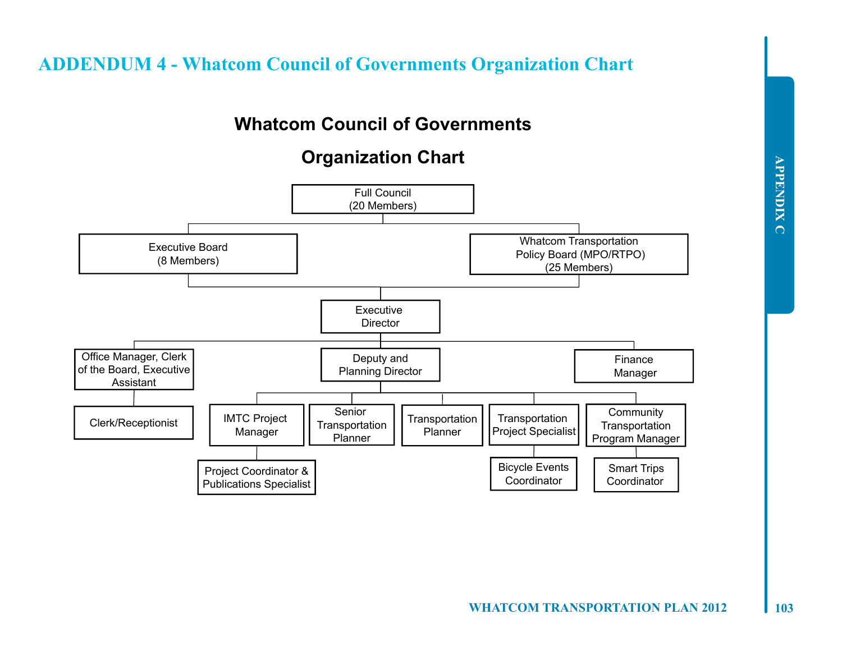**ADDENDUM 4 - Whatcom Council of Governments Organization Chart**

# **Whatcom Council of Governments**

# **Organization Chart**